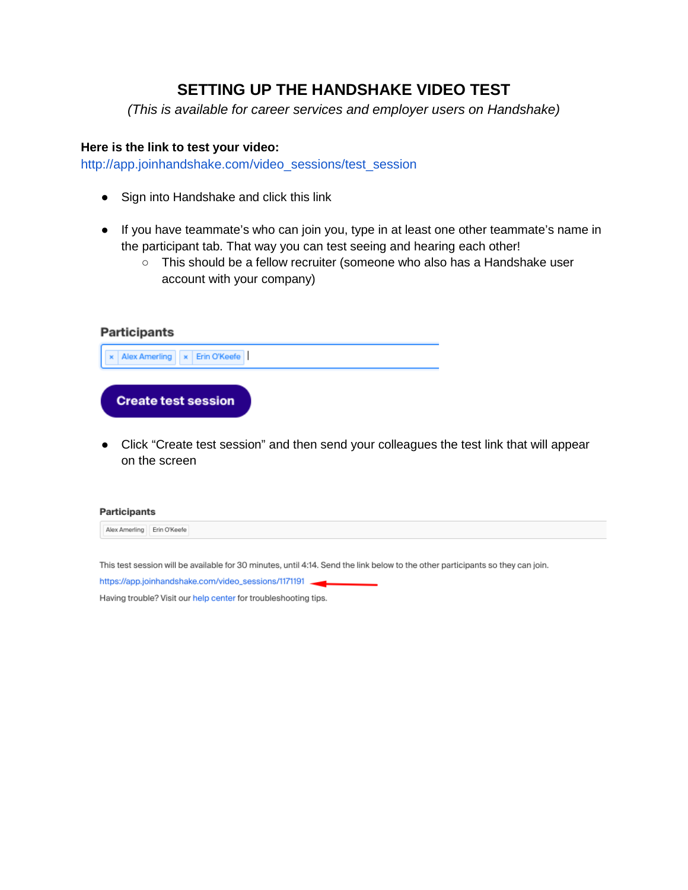# **SETTING UP THE HANDSHAKE VIDEO TEST**

*(This is available for career services and employer users on Handshake)*

### **Here is the link to test your video:**

[http://app.joinhandshake.com/video\\_sessions/test\\_session](http://app.joinhandshake.com/video_sessions/test_session)

- Sign into Handshake and click this link
- If you have teammate's who can join you, type in at least one other teammate's name in the participant tab. That way you can test seeing and hearing each other!
	- This should be a fellow recruiter (someone who also has a Handshake user account with your company)

| <b>Participants</b>                                                                                                    |  |
|------------------------------------------------------------------------------------------------------------------------|--|
| x Erin O'Keefe<br>Alex Amerling                                                                                        |  |
| <b>Create test session</b>                                                                                             |  |
| Click "Create test session" and then send your colleagues the test link that will appear<br>$\bullet$<br>on the screen |  |
|                                                                                                                        |  |



This test session will be available for 30 minutes, until 4:14. Send the link below to the other participants so they can join.

https://app.joinhandshake.com/video\_sessions/1171191

Having trouble? Visit our help center for troubleshooting tips.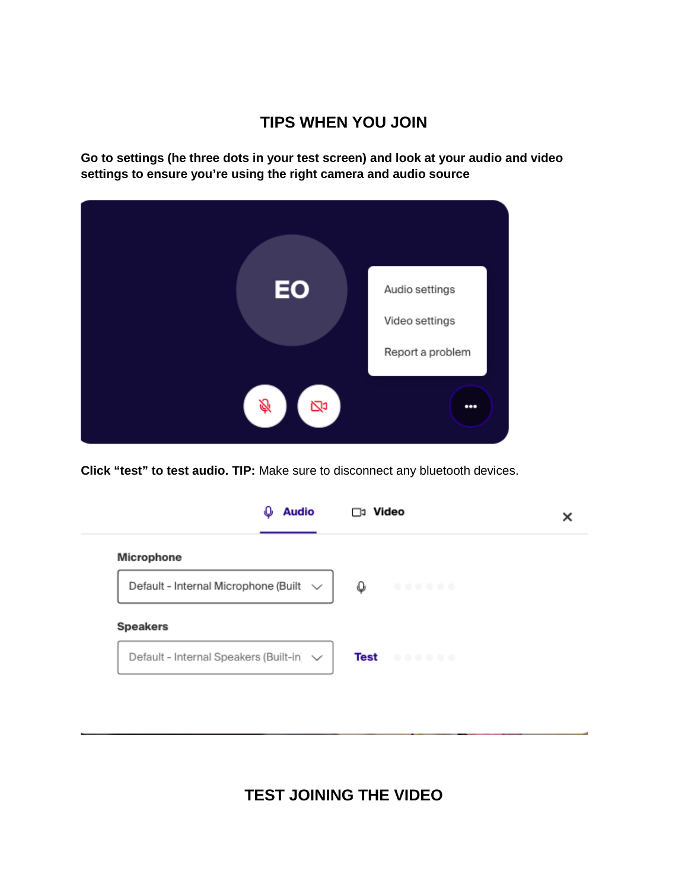# **TIPS WHEN YOU JOIN**

**Go to settings (he three dots in your test screen) and look at your audio and video settings to ensure you're using the right camera and audio source**



**Click "test" to test audio. TIP:** Make sure to disconnect any bluetooth devices.

|                                             | <b>Audio</b> | □ุ่ง Video |  |
|---------------------------------------------|--------------|------------|--|
| Microphone                                  |              |            |  |
| Default - Internal Microphone (Built $\vee$ |              |            |  |
|                                             |              | O          |  |
| <b>Speakers</b>                             |              |            |  |

**TEST JOINING THE VIDEO**